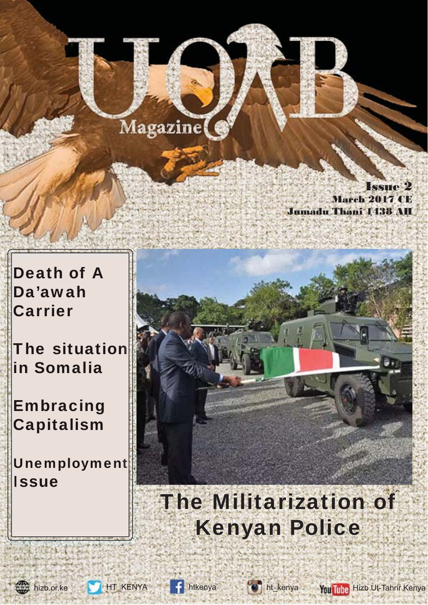## Magazine(

Issue 2 March 2017 CE Jumadu Thani 1438 A

Death of A Da'awah Carrier

**Carrier<br>The situation** in Somalia

Embracing Embracing Capitalism

Unemployment **Issue** 



# The Militarization of Kenyan Police







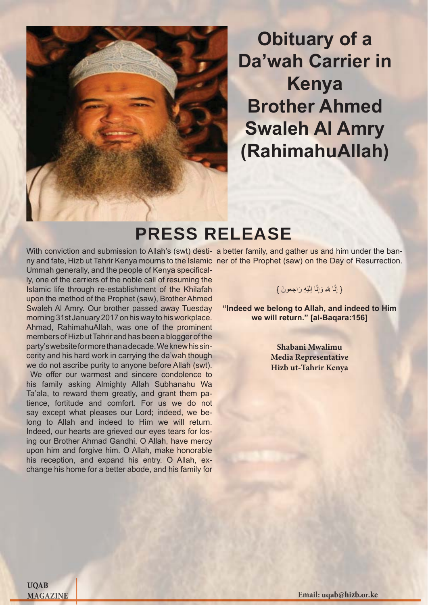

**Chituary of a**<br> **Email: Kenya**<br> **Email: Email: Email: Email: Email: Email: Prophet** (saw) on the Day of Resur<br> **Examplement** (saw) on the Day of Resur<br> **Examplement** (saw) on the Day of Resur<br> **Email: All Da'wah Carrier in Kenya Brother Ahmed Swaleh Al Amry (RahimahuAllah)**

## PRESS RELEASE

With conviction and submission to Allah's (swt) desti- a better family, and gather us and him under the banny and fate, Hizb ut Tahrir Kenya mourns to the Islamic ner of the Prophet (saw) on the Day of Resurrection. Ummah generally, and the people of Kenya specifically, one of the carriers of the noble call of resuming the Islamic life through re-establishment of the Khilafah upon the method of the Prophet (saw), Brother Ahmed Swaleh Al Amry. Our brother passed away Tuesday morning 31st January 2017 on his way to his workplace. Ahmad, RahimahuAllah, was one of the prominent members of Hizb ut Tahrir and has been a blogger of the party's website for more than a decade. We knew his sincerity and his hard work in carrying the da'wah though we do not ascribe purity to anyone before Allah (swt).

We offer our warmest and sincere condolence to his family asking Almighty Allah Subhanahu Wa Ta'ala, to reward them greatly, and grant them patience, fortitude and comfort. For us we do not say except what pleases our Lord; indeed, we belong to Allah and indeed to Him we will return. Indeed, our hearts are grieved our eyes tears for losing our Brother Ahmad Gandhi, O Allah, have mercy upon him and forgive him. O Allah, make honorable his reception, and expand his entry. O Allah, exchange his home for a better abode, and his family for

### { إِنَّا لِلّهِ وَإِنَّا إِلَيْهِ رَاجِعونَ }  $\frac{1}{2}$

**"Indeed we belong to Allah, and indeed to Him we will return." [al-Baqara:156]**

> **Shabani Mwalimu Media Representative Hizb ut-Tahrir Kenya**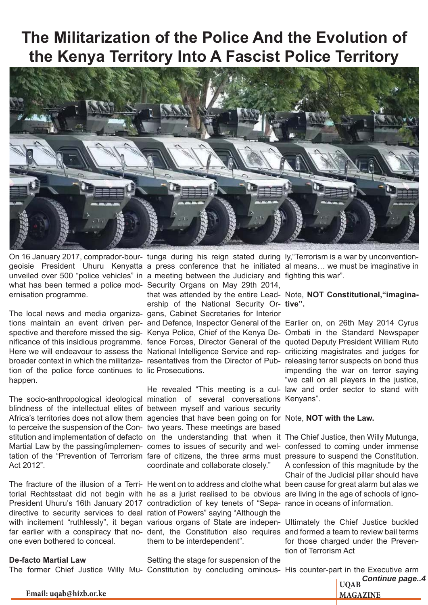## **The Militarization of the Police And the Evolution of the Kenya Territory Into A Fascist Police Territory**



On 16 January 2017, comprador-bour- tunga during his reign stated during ly, "Terrorism is a war by unconventiongeoisie President Uhuru Kenyatta a press conference that he initiated al means... we must be imaginative in unveiled over 500 "police vehicles" in a meeting between the Judiciary and fighting this war". what has been termed a police mod-Security Organs on May 29th 2014, ernisation programme.

The local news and media organiza-gans, Cabinet Secretaries for Interior tions maintain an event driven per- and Defence, Inspector General of the Earlier on, on 26th May 2014 Cyrus tion of the police force continues to lic Prosecutions. happen.

blindness of the intellectual elites of between myself and various security to perceive the suspension of the Con-two years. These meetings are based Act 2012".

one even bothered to conceal.

### **De-facto Martial Law**

that was attended by the entire Lead- Note, **NOT Constitutional, "imagina**ership of the National Security Or-**tive".**

The socio-anthropological ideological mination of several conversations Kenyans". Africa's territories does not allow them agencies that have been going on for Note, NOT with the Law. stitution and implementation of defacto on the understanding that when it The Chief Justice, then Willy Mutunga, Martial Law by the passing/implemen- comes to issues of security and wel- confessed to coming under immense tation of the "Prevention of Terrorism fare of citizens, the three arms must pressure to suspend the Constitution. coordinate and collaborate closely."

torial Rechtsstaat did not begin with he as a jurist realised to be obvious are living in the age of schools of igno-President Uhuru's 16th January 2017 contradiction of key tenets of "Sepa- rance in oceans of information. directive to security services to deal ration of Powers" saying "Although the them to be interdependent".

Setting the stage for suspension of the

spective and therefore missed the sig- Kenya Police, Chief of the Kenya De- Ombati in the Standard Newspaper nificance of this insidious programme. fence Forces, Director General of the quoted Deputy President William Ruto Here we will endeavour to assess the National Intelligence Service and rep- criticizing magistrates and judges for broader context in which the militariza- resentatives from the Director of Pub- releasing terror suspects on bond thus He revealed "This meeting is a cul-law and order sector to stand with impending the war on terror saying "we call on all players in the justice,

The fracture of the illusion of a Terri- He went on to address and clothe what been cause for great alarm but alas we A confession of this magnitude by the Chair of the Judicial pillar should have

with incitement "ruthlessly", it began various organs of State are indepen- Ultimately the Chief Justice buckled far earlier with a conspiracy that no- dent, the Constitution also requires and formed a team to review bail terms for those charged under the Prevention of Terrorism Act

**UQAB** *Continue page..4* The former Chief Justice Willy Mu- Constitution by concluding ominous- His counter-part in the Executive arm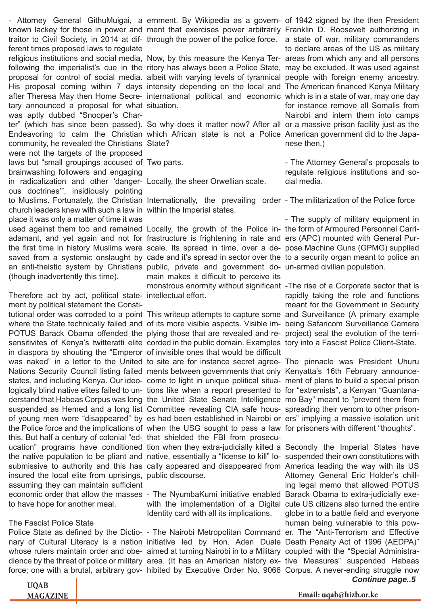known lackey for those in power and ment that exercises power arbitrarily Franklin D. Roosevelt authorizing in traitor to Civil Society, in 2014 at dif- through the power of the police force. a state of war, military commanders ferent times proposed laws to regulate religious institutions and social media, Now, by this measure the Kenya Ter-areas from which any and all persons following the imperialist's cue in the ritory has always been a Police State, may be excluded. It was used against proposal for control of social media. albeit with varying levels of tyrannical people with foreign enemy ancestry. His proposal coming within 7 days intensity depending on the local and The American financed Kenya Military after Theresa May then Home Secre- international political and economic which is in a state of war, may one day tary announced a proposal for what situation. was aptly dubbed "Snooper's Charter" (which has since been passed). So why does it matter now? After all or a massive prison facility just as the Endeavoring to calm the Christian which African state is not a Police American government did to the Japacommunity, he revealed the Christians State? were not the targets of the proposed laws but "small groupings accused of Two parts. brainwashing followers and engaging in radicalization and other 'danger-Locally, the sheer Orwellian scale. ous doctrines'", insidiously pointing to Muslims. Fortunately, the Christian Internationally, the prevailing order - The militarization of the Police force church leaders knew with such a law in within the Imperial states. place it was only a matter of time it was used against them too and remained Locally, the growth of the Police in-the form of Armoured Personnel Carriadamant, and yet again and not for frastructure is frightening in rate and ers (APC) mounted with General Puran anti-theistic system by Christians public, private and government do-un-armed civilian population. (though inadvertently this time).

Therefore act by act, political state- intellectual effort. ment by political statement the Constitutional order was corroded to a point This writeup attempts to capture some and Surveillance (A primary example where the State technically failed and of its more visible aspects. Visible im- being Safaricom Surveillance Camera POTUS Barack Obama offended the plying those that are revealed and re- project) seal the evolution of the terrisensitivites of Kenya's twitteratti elite corded in the public domain. Examples tory into a Fascist Police Client-State. in diaspora by shouting the "Emperor of invisible ones that would be difficult was naked" in a letter to the United to site are for instance secret agree- The pinnacle was President Uhuru Nations Security Council listing failed ments between governments that only Kenyatta's 16th February announcestates, and including Kenya. Our ideo- come to light in unique political situa- ment of plans to build a special prison logically blind native elites failed to un- tions like when a report presented to for "extremists", a Kenyan "Guantanaderstand that Habeas Corpus was long the United State Senate Intelligence mo Bay" meant to "prevent them from suspended as Hemed and a long list Committee revealing CIA safe hous- spreading their venom to other prisonof young men were "disappeared" by es had been established in Nairobi or ers" implying a massive isolation unit the Police force and the implications of when the USG sought to pass a law for prisoners with different "thoughts". this. But half a century of colonial "ed-that shielded the FBI from prosecuucation" programs have conditioned tion when they extra-judicially killed a Secondly the Imperial States have the native population to be pliant and native, essentially a "license to kill" lo- suspended their own constitutions with submissive to authority and this has cally appeared and disappeared from America leading the way with its US insured the local elite from uprisings, public discourse. assuming they can maintain sufficient economic order that allow the masses - The NyumbaKumi initiative enabled Barack Obama to extra-judicially exeto have hope for another meal.

### The Fascist Police State

whose rulers maintain order and obe- aimed at turning Nairobi in to a Military coupled with the "Special Administra-

main makes it difficult to perceive its

Identity card with all its implications.

- Attorney General GithuMuigai, a ernment. By Wikipedia as a govern- of 1942 signed by the then President to declare areas of the US as military for instance remove all Somalis from Nairobi and intern them into camps nese then.)

> - The Attorney General's proposals to regulate religious institutions and social media.

the first time in history Muslims were scale. Its spread in time, over a de- pose Machine Guns (GPMG) supplied saved from a systemic onslaught by cade and it's spread in sector over the to a security organ meant to police an - The supply of military equipment in

> monstrous enormity without significant - The rise of a Corporate sector that is rapidly taking the role and functions meant for the Government in Security

*Continue page..5* Police State as defined by the Dictio- - The Nairobi Metropolitan Command er. The "Anti-Terrorism and Effective nary of Cultural Literacy is a nation initiative led by Hon. Aden Duale Death Penalty Act of 1996 (AEDPA)" dience by the threat of police or military area. (It has an American history ex- tive Measures" suspended Habeas force; one with a brutal, arbitrary gov- hibited by Executive Order No. 9066 Corpus. A never-ending struggle now with the implementation of a Digital cute US citizens also turned the entire Attorney General Eric Holder's chilling legal memo that allowed POTUS globe in to a battle field and everyone human being vulnerable to this pow-

| <b>UQAB</b>     |
|-----------------|
| <b>MAGAZINE</b> |

**MAGAZINE Email: uqab@hizb.or.ke**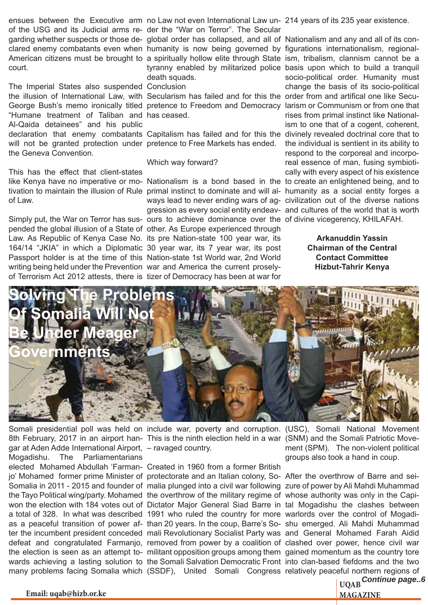ensues between the Executive arm no Law not even International Law un- 214 years of its 235 year existence. of the USG and its Judicial arms re-der the "War on Terror". The Secular garding whether suspects or those de- global order has collapsed, and all of Nationalism and any and all of its conclared enemy combatants even when humanity is now being governed by figurations internationalism, regionalcourt.

The Imperial States also suspended Conclusion the illusion of International Law, with Secularism has failed and for this the order from and artifical one like Secu-"Humane treatment of Taliban and has ceased. Al-Qaida detainees" and his public will not be granted protection under pretence to Free Markets has ended. the Geneva Convention.

This has the effect that client-states of Law.

Simply put, the War on Terror has sus- ours to achieve dominance over the of divine vicegerency, KHILAFAH. pended the global illusion of a State of other. As Europe experienced through Law. As Republic of Kenya Case No. its pre Nation-state 100 year war, its 164/14 "JKIA" in which a Diplomatic 30 year war, its 7 year war, its post Passport holder is at the time of this Nation-state 1st World war, 2nd World writing being held under the Prevention war and America the current proselyof Terrorism Act 2012 attests, there is tizer of Democracy has been at war for

death squads.

### Which way forward?

American citizens must be brought to a spiritually hollow elite through State ism, tribalism, clannism cannot be a George Bush's memo ironically titled pretence to Freedom and Democracy larism or Communism or from one that declaration that enemy combatants Capitalism has failed and for this the divinely revealed doctrinal core that to like Kenya have no imperative or mo- Nationalism is a bond based in the to create an enlightened being, and to tivation to maintain the illusion of Rule primal instinct to dominate and will al- humanity as a social entity forges a tyranny enabled by militarized police basis upon which to build a tranquil ways lead to never ending wars of ag-civilization out of the diverse nations gression as every social entity endeav-and cultures of the world that is worth socio-political order. Humanity must change the basis of its socio-political rises from primal instinct like Nationalism to one that of a cogent, coherent, the individual is sentient in its ability to respond to the corporeal and incorporeal essence of man, fusing symbiotically with every aspect of his existence

> **Arkanuddin Yassin Chairman of the Central Contact Committee Hizbut-Tahrir Kenya**



Somali presidential poll was held on include war, poverty and corruption. (USC), Somali National Movement 8th February, 2017 in an airport han- This is the ninth election held in a war (SNM) and the Somali Patriotic Movegar at Aden Adde International Airport, – ravaged country. Mogadishu. The Parliamentarians elected Mohamed Abdullah 'Farman-Created in 1960 from a former British jo' Mohamed former prime Minister of protectorate and an Italian colony, So- After the overthrow of Barre and sei-Somalia in 2011 - 2015 and founder of malia plunged into a civil war following zure of power by Ali Mahdi Muhammad the Tayo Political wing/party. Mohamed the overthrow of the military regime of whose authority was only in the Capiwon the election with 184 votes out of Dictator Major General Siad Barre in tal Mogadishu the clashes between a total of 328. In what was described 1991 who ruled the country for more warlords over the control of Mogadias a peaceful transition of power af-than 20 years. In the coup, Barre's So-shu emerged. Ali Mahdi Muhammad ter the incumbent president conceded mali Revolutionary Socialist Party was and General Mohamed Farah Aidid defeat and congratulated Farmanjo, removed from power by a coalition of clashed over power, hence civil war the election is seen as an attempt to- militant opposition groups among them gained momentum as the country tore wards achieving a lasting solution to the Somali Salvation Democratic Front into clan-based fiefdoms and the two many problems facing Somalia which (SSDF), United Somali Congress relatively peaceful northern regions of

ment (SPM). The non-violent political groups also took a hand in coup.

**UQAB** *Continue page..6*

**Email: uqab@hizb.or.ke** MAGAZINE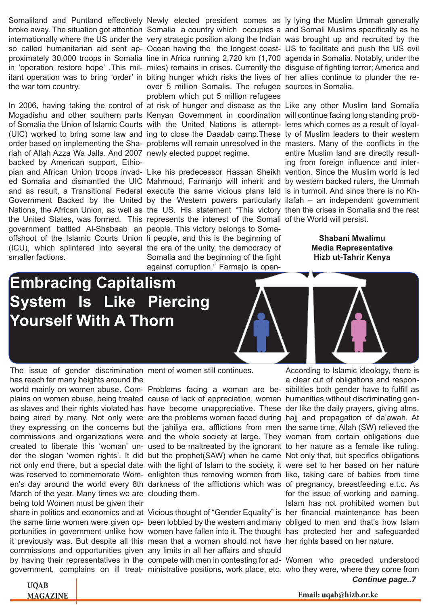Somaliland and Puntland effectively Newly elected president comes as ly lying the Muslim Ummah generally itant operation was to bring 'order' in biting hunger which risks the lives of her allies continue to plunder the rethe war torn country.

Mogadishu and other southern parts Kenyan Government in coordination will continue facing long standing probof Somalia the Union of Islamic Courts with the United Nations is attempt- lems which comes as a result of loyalriah of Allah Azza Wa Jalla. And 2007 newly elected puppet regime. backed by American support, Ethioand as result, a Transitional Federal execute the same vicious plans laid is in turmoil. And since there is no Khthe United States, was formed. This represents the interest of the Somali of the World will persist. government battled Al-Shabaab an people. This victory belongs to Somaoffshoot of the Islamic Courts Union Ii people, and this is the beginning of (ICU), which splintered into several the era of the unity, the democracy of smaller factions.

over 5 million Somalis. The refugee sources in Somalia. problem which put 5 million refugees

Somalia and the beginning of the fight against corruption," Farmajo is open-

broke away. The situation got attention Somalia a country which occupies a and Somali Muslims specifically as he internationally where the US under the very strategic position along the Indian was brought up and recruited by the so called humanitarian aid sent ap- Ocean having the the longest coast- US to facilitate and push the US evil proximately 30,000 troops in Somalia line in Africa running 2,720 km (1,700 agenda in Somalia. Notably, under the in 'operation restore hope'. This mil- miles) remains in crises. Currently the disguise of fighting terror; America and

In 2006, having taking the control of at risk of hunger and disease as the Like any other Muslim land Somalia (UIC) worked to bring some law and ing to close the Daadab camp.These ty of Muslim leaders to their western order based on implementing the Sha- problems will remain unresolved in the masters. Many of the conflicts in the pian and African Union troops invad-Like his predecessor Hassan Sheikh vention. Since the Muslim world is led ed Somalia and dismantled the UIC Mahmoud, Farmanjo will inherit and by western backed rulers, the Ummah Government Backed by the United by the Western powers particularly ilafah – an independent government Nations, the African Union, as well as the US. His statement "This victory then the crises in Somalia and the rest entire Muslim land are directly resulting from foreign influence and inter-

> **Shabani Mwalimu Media Representative Hizb ut-Tahrir Kenya**

## **Embracing Capitalism System Is Like Piercing Yourself With A Thorn**



The issue of gender discrimination ment of women still continues. has reach far many heights around the

plains on women abuse, being treated cause of lack of appreciation, women humanities without discriminating gen-March of the year. Many times we are clouding them. being told Women must be given their

it previously was. But despite all this mean that a woman should not have her rights based on her nature. commissions and opportunities given any limits in all her affairs and should

According to Islamic ideology, there is

world mainly on women abuse. Com- Problems facing a woman are be- sibilities both gender have to fulfill as as slaves and their rights violated has have become unappreciative. These der like the daily prayers, giving alms, being aired by many. Not only were are the problems women faced during hajj and propagation of da'awah. At they expressing on the concerns but the jahiliya era, afflictions from men the same time, Allah (SW) relieved the commissions and organizations were and the whole society at large. They woman from certain obligations due created to liberate this 'woman' un- used to be maltreated by the ignorant to her nature as a female like ruling. der the slogan 'women rights'. It did but the prophet(SAW) when he came Not only that, but specifics obligations not only end there, but a special date with the light of Islam to the society, it were set to her based on her nature was reserved to commemorate Wom- enlighten thus removing women from like, taking care of babies from time en's day around the world every 8th darkness of the afflictions which was of pregnancy, breastfeeding e.t.c. As share in politics and economics and at Vicious thought of "Gender Equality" is her financial maintenance has been the same time women were given op- been lobbied by the western and many obliged to men and that's how Islam portunities in government unlike how women have fallen into it. The thought has protected her and safeguarded a clear cut of obligations and responfor the issue of working and earning, Islam has not prohibited women but

*Continue page..7* by having their representatives in the compete with men in contesting for ad-Women who preceded understood government, complains on ill treat- ministrative positions, work place, etc. who they were, where they come from

**UQAB**

**MAGAZINE Email: uqab@hizb.or.ke**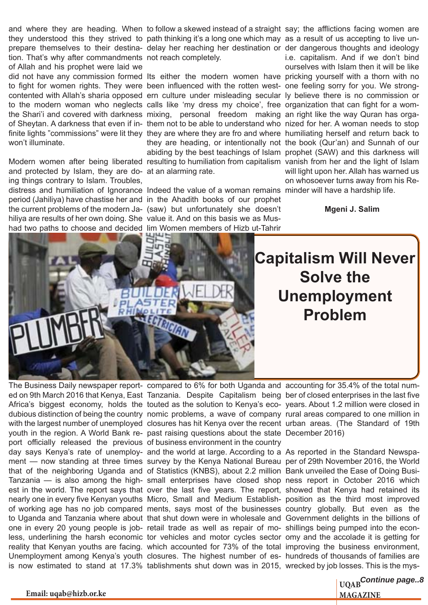and where they are heading. When to follow a skewed instead of a straight say; the afflictions facing women are they understood this they strived to path thinking it's a long one which may as a result of us accepting to live untion. That's why after commandments not reach completely. of Allah and his prophet were laid we to fight for women rights. They were been influenced with the rotten west- one feeling sorry for you. We strongto the modern woman who neglects calls like 'my dress my choice', free organization that can fight for a womthe Shari'i and covered with darkness mixing, personal freedom making an right like the way Quran has orgawon't illuminate.

and protected by Islam, they are do-at an alarming rate. ing things contrary to Islam. Troubles, distress and humiliation of Ignorance Indeed the value of a woman remains minder will have a hardship life. period (Jahiliya) have chastise her and in the Ahadith books of our prophet the current problems of the modern Ja-(saw) but unfortunately she doesn't hiliya are results of her own doing. She value it. And on this basis we as Mushad two paths to choose and decided lim Women members of Hizb ut-Tahrir

prepare themselves to their destina- delay her reaching her destination or der dangerous thoughts and ideology did not have any commission formed Its either the modern women have pricking yourself with a thorn with no contented with Allah's sharia opposed ern culture under misleading secular ly believe there is no commission or of Sheytan. A darkness that even if in- them not to be able to understand who nized for her. A woman needs to stop finite lights "commissions" were lit they they are where they are fro and where humiliating herself and return back to Modern women after being liberated resulting to humiliation from capitalism vanish from her and the light of Islam they are heading, or intentionally not the book (Qur'an) and Sunnah of our abiding by the best teachings of Islam prophet (SAW) and this darkness will i.e. capitalism. And if we don't bind ourselves with Islam then it will be like will light upon her. Allah has warned us on whosoever turns away from his Re-

**Mgeni J. Salim**



**Capitalism Will Never Solve the Unemployment Problem**

youth in the region. A World Bank re-past raising questions about the state December 2016) port officially released the previous of business environment in the country day says Kenya's rate of unemploy- and the world at large. According to a As reported in the Standard Newspathat of the neighboring Uganda and of Statistics (KNBS), about 2.2 million Bank unveiled the Ease of Doing Busione in every 20 young people is job- retail trade as well as repair of mo- shillings being pumped into the econ-

The Business Daily newspaper report- compared to 6% for both Uganda and accounting for 35.4% of the total num-

ed on 9th March 2016 that Kenya, East Tanzania. Despite Capitalism being ber of closed enterprises in the last five Africa's biggest economy, holds the touted as the solution to Kenya's eco-years. About 1.2 million were closed in dubious distinction of being the country nomic problems, a wave of company rural areas compared to one million in with the largest number of unemployed closures has hit Kenya over the recent urban areas. (The Standard of 19th

ment — now standing at three times survey by the Kenya National Bureau per of 29th November 2016, the World Tanzania — is also among the high- small enterprises have closed shop ness report in October 2016 which est in the world. The report says that over the last five years. The report, showed that Kenya had retained its nearly one in every five Kenyan youths Micro, Small and Medium Establish- position as the third most improved of working age has no job compared ments, says most of the businesses country globally. But even as the to Uganda and Tanzania where about that shut down were in wholesale and Government delights in the billions of less, underlining the harsh economic tor vehicles and motor cycles sector omy and the accolade it is getting for reality that Kenyan youths are facing. which accounted for 73% of the total improving the business environment, Unemployment among Kenya's youth closures. The highest number of es- hundreds of thousands of families are is now estimated to stand at 17.3% tablishments shut down was in 2015, wrecked by job losses. This is the mys-

**UQAB** *Continue page..8*